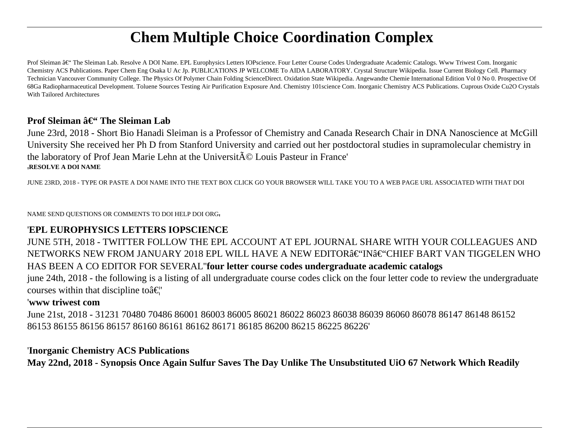# **Chem Multiple Choice Coordination Complex**

Prof Sleiman – The Sleiman Lab. Resolve A DOI Name. EPL Europhysics Letters IOPscience. Four Letter Course Codes Undergraduate Academic Catalogs. Www Triwest Com. Inorganic Chemistry ACS Publications. Paper Chem Eng Osaka U Ac Jp. PUBLICATIONS JP WELCOME To AIDA LABORATORY. Crystal Structure Wikipedia. Issue Current Biology Cell. Pharmacy Technician Vancouver Community College. The Physics Of Polymer Chain Folding ScienceDirect. Oxidation State Wikipedia. Angewandte Chemie International Edition Vol 0 No 0. Prospective Of 68Ga Radiopharmaceutical Development. Toluene Sources Testing Air Purification Exposure And. Chemistry 101science Com. Inorganic Chemistry ACS Publications. Cuprous Oxide Cu2O Crystals With Tailored Architectures

### **Prof Sleiman – The Sleiman Lab**

June 23rd, 2018 - Short Bio Hanadi Sleiman is a Professor of Chemistry and Canada Research Chair in DNA Nanoscience at McGill University She received her Ph D from Stanford University and carried out her postdoctoral studies in supramolecular chemistry in the laboratory of Prof Jean Marie Lehn at the Universit $\tilde{A}$ © Louis Pasteur in France' '**RESOLVE A DOI NAME**

JUNE 23RD, 2018 - TYPE OR PASTE A DOI NAME INTO THE TEXT BOX CLICK GO YOUR BROWSER WILL TAKE YOU TO A WEB PAGE URL ASSOCIATED WITH THAT DOI

NAME SEND QUESTIONS OR COMMENTS TO DOI HELP DOI ORG'

### '**EPL EUROPHYSICS LETTERS IOPSCIENCE**

JUNE 5TH, 2018 - TWITTER FOLLOW THE EPL ACCOUNT AT EPL JOURNAL SHARE WITH YOUR COLLEAGUES AND NETWORKS NEW FROM JANUARY 2018 EPL WILL HAVE A NEW EDITOR–IN–CHIEF BART VAN TIGGELEN WHO HAS BEEN A CO EDITOR FOR SEVERAL''**four letter course codes undergraduate academic catalogs**

june 24th, 2018 - the following is a listing of all undergraduate course codes click on the four letter code to review the undergraduate courses within that discipline to $\hat{a} \in \mathcal{C}$ 

### '**www triwest com**

June 21st, 2018 - 31231 70480 70486 86001 86003 86005 86021 86022 86023 86038 86039 86060 86078 86147 86148 86152 86153 86155 86156 86157 86160 86161 86162 86171 86185 86200 86215 86225 86226'

### '**Inorganic Chemistry ACS Publications**

**May 22nd, 2018 - Synopsis Once Again Sulfur Saves The Day Unlike The Unsubstituted UiO 67 Network Which Readily**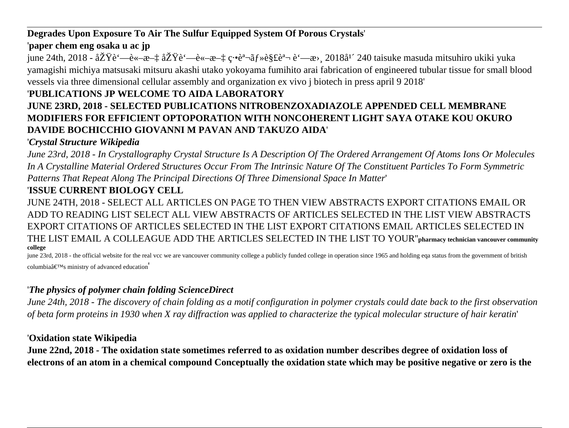### **Degrades Upon Exposure To Air The Sulfur Equipped System Of Porous Crystals**'

# '**paper chem eng osaka u ac jp**

june 24th, 2018 -  $\frac{\partial Z}{\partial \dot{\theta}} = -\frac{\partial x}{\partial x} - \frac{\partial y}{\partial x} = -\frac{\partial y}{\partial x} - \frac{\partial z}{\partial x} = -\frac{\partial z}{\partial x} + \frac{\partial z}{\partial x} = -\frac{\partial z}{\partial x} + \frac{\partial z}{\partial x} = -\frac{\partial z}{\partial x} + \frac{\partial z}{\partial x} = -\frac{\partial z}{\partial x} + \frac{\partial z}{\partial x} = -\frac{\partial z}{\partial x} + \frac{\partial z}{\partial x} = -\frac{\partial z}{\partial x} + \frac{\partial z}{\partial x} = -\frac{\$ yamagishi michiya matsusaki mitsuru akashi utako yokoyama fumihito arai fabrication of engineered tubular tissue for small blood vessels via three dimensional cellular assembly and organization ex vivo j biotech in press april 9 2018'

# '**PUBLICATIONS JP WELCOME TO AIDA LABORATORY**

### **JUNE 23RD, 2018 - SELECTED PUBLICATIONS NITROBENZOXADIAZOLE APPENDED CELL MEMBRANE MODIFIERS FOR EFFICIENT OPTOPORATION WITH NONCOHERENT LIGHT SAYA OTAKE KOU OKURO DAVIDE BOCHICCHIO GIOVANNI M PAVAN AND TAKUZO AIDA**'

# '*Crystal Structure Wikipedia*

*June 23rd, 2018 - In Crystallography Crystal Structure Is A Description Of The Ordered Arrangement Of Atoms Ions Or Molecules In A Crystalline Material Ordered Structures Occur From The Intrinsic Nature Of The Constituent Particles To Form Symmetric Patterns That Repeat Along The Principal Directions Of Three Dimensional Space In Matter*'

# '**ISSUE CURRENT BIOLOGY CELL**

JUNE 24TH, 2018 - SELECT ALL ARTICLES ON PAGE TO THEN VIEW ABSTRACTS EXPORT CITATIONS EMAIL OR ADD TO READING LIST SELECT ALL VIEW ABSTRACTS OF ARTICLES SELECTED IN THE LIST VIEW ABSTRACTS EXPORT CITATIONS OF ARTICLES SELECTED IN THE LIST EXPORT CITATIONS EMAIL ARTICLES SELECTED IN THE LIST EMAIL A COLLEAGUE ADD THE ARTICLES SELECTED IN THE LIST TO YOUR''**pharmacy technician vancouver community college**

june 23rd, 2018 - the official website for the real vcc we are vancouver community college a publicly funded college in operation since 1965 and holding eqa status from the government of british columbia $\hat{\mathbf{a}} \in \mathbb{M}$ s ministry of advanced education

### '*The physics of polymer chain folding ScienceDirect*

*June 24th, 2018 - The discovery of chain folding as a motif configuration in polymer crystals could date back to the first observation of beta form proteins in 1930 when X ray diffraction was applied to characterize the typical molecular structure of hair keratin*'

### '**Oxidation state Wikipedia**

**June 22nd, 2018 - The oxidation state sometimes referred to as oxidation number describes degree of oxidation loss of electrons of an atom in a chemical compound Conceptually the oxidation state which may be positive negative or zero is the**